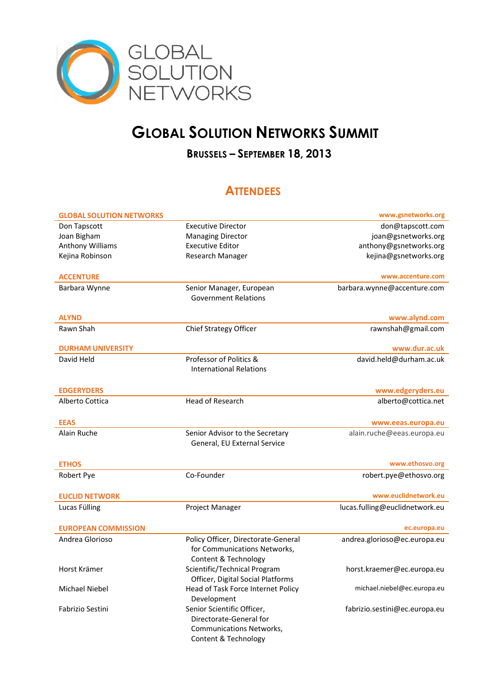

## **GLOBAL SOLUTION NETWORKS SUMMIT**

## **BRUSSELS – SEPTEMBER 18, 2013**

## **ATTENDEES**

| Don Tapscott<br><b>Executive Director</b><br>don@tapscott.com<br>Joan Bigham<br>joan@gsnetworks.org<br><b>Managing Director</b><br>Anthony Williams<br><b>Executive Editor</b><br>anthony@gsnetworks.org<br>Kejina Robinson<br>Research Manager<br>kejina@gsnetworks.org<br>www.accenture.com<br><b>ACCENTURE</b><br>Barbara Wynne<br>Senior Manager, European<br>barbara.wynne@accenture.com<br><b>Government Relations</b><br><b>ALYND</b><br>www.alynd.com<br><b>Chief Strategy Officer</b><br>rawnshah@gmail.com<br>Rawn Shah<br><b>DURHAM UNIVERSITY</b><br>www.dur.ac.uk<br>Professor of Politics &<br>david.held@durham.ac.uk<br>David Held<br><b>International Relations</b><br><b>EDGERYDERS</b><br>www.edgeryders.eu<br><b>Head of Research</b><br>alberto@cottica.net<br>Alberto Cottica<br><b>EEAS</b><br>www.eeas.europa.eu<br>Alain Ruche<br>Senior Advisor to the Secretary<br>alain.ruche@eeas.europa.eu<br>General, EU External Service<br>www.ethosvo.org<br><b>ETHOS</b><br>Co-Founder<br>robert.pye@ethosvo.org<br>Robert Pye<br>www.euclidnetwork.eu<br><b>EUCLID NETWORK</b><br>Lucas Fülling<br>lucas.fulling@euclidnetwork.eu<br>Project Manager<br><b>EUROPEAN COMMISSION</b><br>ec.europa.eu<br>Policy Officer, Directorate-General<br>Andrea Glorioso<br>andrea.glorioso@ec.europa.eu<br>for Communications Networks,<br>Content & Technology<br>Scientific/Technical Program<br>Horst Krämer<br>horst.kraemer@ec.europa.eu<br>Officer, Digital Social Platforms<br>michael.niebel@ec.europa.eu<br>Michael Niebel<br>Head of Task Force Internet Policy<br>Development<br>Senior Scientific Officer,<br>Fabrizio Sestini<br>fabrizio.sestini@ec.europa.eu<br>Directorate-General for | <b>GLOBAL SOLUTION NETWORKS</b> |                                 | www.gsnetworks.org |
|-----------------------------------------------------------------------------------------------------------------------------------------------------------------------------------------------------------------------------------------------------------------------------------------------------------------------------------------------------------------------------------------------------------------------------------------------------------------------------------------------------------------------------------------------------------------------------------------------------------------------------------------------------------------------------------------------------------------------------------------------------------------------------------------------------------------------------------------------------------------------------------------------------------------------------------------------------------------------------------------------------------------------------------------------------------------------------------------------------------------------------------------------------------------------------------------------------------------------------------------------------------------------------------------------------------------------------------------------------------------------------------------------------------------------------------------------------------------------------------------------------------------------------------------------------------------------------------------------------------------------------------------------------------------------------------------------------------------|---------------------------------|---------------------------------|--------------------|
|                                                                                                                                                                                                                                                                                                                                                                                                                                                                                                                                                                                                                                                                                                                                                                                                                                                                                                                                                                                                                                                                                                                                                                                                                                                                                                                                                                                                                                                                                                                                                                                                                                                                                                                 |                                 |                                 |                    |
|                                                                                                                                                                                                                                                                                                                                                                                                                                                                                                                                                                                                                                                                                                                                                                                                                                                                                                                                                                                                                                                                                                                                                                                                                                                                                                                                                                                                                                                                                                                                                                                                                                                                                                                 |                                 |                                 |                    |
|                                                                                                                                                                                                                                                                                                                                                                                                                                                                                                                                                                                                                                                                                                                                                                                                                                                                                                                                                                                                                                                                                                                                                                                                                                                                                                                                                                                                                                                                                                                                                                                                                                                                                                                 |                                 |                                 |                    |
|                                                                                                                                                                                                                                                                                                                                                                                                                                                                                                                                                                                                                                                                                                                                                                                                                                                                                                                                                                                                                                                                                                                                                                                                                                                                                                                                                                                                                                                                                                                                                                                                                                                                                                                 |                                 |                                 |                    |
|                                                                                                                                                                                                                                                                                                                                                                                                                                                                                                                                                                                                                                                                                                                                                                                                                                                                                                                                                                                                                                                                                                                                                                                                                                                                                                                                                                                                                                                                                                                                                                                                                                                                                                                 |                                 |                                 |                    |
|                                                                                                                                                                                                                                                                                                                                                                                                                                                                                                                                                                                                                                                                                                                                                                                                                                                                                                                                                                                                                                                                                                                                                                                                                                                                                                                                                                                                                                                                                                                                                                                                                                                                                                                 |                                 |                                 |                    |
|                                                                                                                                                                                                                                                                                                                                                                                                                                                                                                                                                                                                                                                                                                                                                                                                                                                                                                                                                                                                                                                                                                                                                                                                                                                                                                                                                                                                                                                                                                                                                                                                                                                                                                                 |                                 |                                 |                    |
|                                                                                                                                                                                                                                                                                                                                                                                                                                                                                                                                                                                                                                                                                                                                                                                                                                                                                                                                                                                                                                                                                                                                                                                                                                                                                                                                                                                                                                                                                                                                                                                                                                                                                                                 |                                 |                                 |                    |
|                                                                                                                                                                                                                                                                                                                                                                                                                                                                                                                                                                                                                                                                                                                                                                                                                                                                                                                                                                                                                                                                                                                                                                                                                                                                                                                                                                                                                                                                                                                                                                                                                                                                                                                 |                                 |                                 |                    |
|                                                                                                                                                                                                                                                                                                                                                                                                                                                                                                                                                                                                                                                                                                                                                                                                                                                                                                                                                                                                                                                                                                                                                                                                                                                                                                                                                                                                                                                                                                                                                                                                                                                                                                                 |                                 |                                 |                    |
|                                                                                                                                                                                                                                                                                                                                                                                                                                                                                                                                                                                                                                                                                                                                                                                                                                                                                                                                                                                                                                                                                                                                                                                                                                                                                                                                                                                                                                                                                                                                                                                                                                                                                                                 |                                 |                                 |                    |
|                                                                                                                                                                                                                                                                                                                                                                                                                                                                                                                                                                                                                                                                                                                                                                                                                                                                                                                                                                                                                                                                                                                                                                                                                                                                                                                                                                                                                                                                                                                                                                                                                                                                                                                 |                                 |                                 |                    |
|                                                                                                                                                                                                                                                                                                                                                                                                                                                                                                                                                                                                                                                                                                                                                                                                                                                                                                                                                                                                                                                                                                                                                                                                                                                                                                                                                                                                                                                                                                                                                                                                                                                                                                                 |                                 |                                 |                    |
|                                                                                                                                                                                                                                                                                                                                                                                                                                                                                                                                                                                                                                                                                                                                                                                                                                                                                                                                                                                                                                                                                                                                                                                                                                                                                                                                                                                                                                                                                                                                                                                                                                                                                                                 |                                 |                                 |                    |
|                                                                                                                                                                                                                                                                                                                                                                                                                                                                                                                                                                                                                                                                                                                                                                                                                                                                                                                                                                                                                                                                                                                                                                                                                                                                                                                                                                                                                                                                                                                                                                                                                                                                                                                 |                                 |                                 |                    |
|                                                                                                                                                                                                                                                                                                                                                                                                                                                                                                                                                                                                                                                                                                                                                                                                                                                                                                                                                                                                                                                                                                                                                                                                                                                                                                                                                                                                                                                                                                                                                                                                                                                                                                                 |                                 |                                 |                    |
|                                                                                                                                                                                                                                                                                                                                                                                                                                                                                                                                                                                                                                                                                                                                                                                                                                                                                                                                                                                                                                                                                                                                                                                                                                                                                                                                                                                                                                                                                                                                                                                                                                                                                                                 |                                 |                                 |                    |
|                                                                                                                                                                                                                                                                                                                                                                                                                                                                                                                                                                                                                                                                                                                                                                                                                                                                                                                                                                                                                                                                                                                                                                                                                                                                                                                                                                                                                                                                                                                                                                                                                                                                                                                 |                                 |                                 |                    |
|                                                                                                                                                                                                                                                                                                                                                                                                                                                                                                                                                                                                                                                                                                                                                                                                                                                                                                                                                                                                                                                                                                                                                                                                                                                                                                                                                                                                                                                                                                                                                                                                                                                                                                                 |                                 |                                 |                    |
|                                                                                                                                                                                                                                                                                                                                                                                                                                                                                                                                                                                                                                                                                                                                                                                                                                                                                                                                                                                                                                                                                                                                                                                                                                                                                                                                                                                                                                                                                                                                                                                                                                                                                                                 |                                 |                                 |                    |
|                                                                                                                                                                                                                                                                                                                                                                                                                                                                                                                                                                                                                                                                                                                                                                                                                                                                                                                                                                                                                                                                                                                                                                                                                                                                                                                                                                                                                                                                                                                                                                                                                                                                                                                 |                                 |                                 |                    |
|                                                                                                                                                                                                                                                                                                                                                                                                                                                                                                                                                                                                                                                                                                                                                                                                                                                                                                                                                                                                                                                                                                                                                                                                                                                                                                                                                                                                                                                                                                                                                                                                                                                                                                                 |                                 |                                 |                    |
|                                                                                                                                                                                                                                                                                                                                                                                                                                                                                                                                                                                                                                                                                                                                                                                                                                                                                                                                                                                                                                                                                                                                                                                                                                                                                                                                                                                                                                                                                                                                                                                                                                                                                                                 |                                 |                                 |                    |
|                                                                                                                                                                                                                                                                                                                                                                                                                                                                                                                                                                                                                                                                                                                                                                                                                                                                                                                                                                                                                                                                                                                                                                                                                                                                                                                                                                                                                                                                                                                                                                                                                                                                                                                 |                                 |                                 |                    |
|                                                                                                                                                                                                                                                                                                                                                                                                                                                                                                                                                                                                                                                                                                                                                                                                                                                                                                                                                                                                                                                                                                                                                                                                                                                                                                                                                                                                                                                                                                                                                                                                                                                                                                                 |                                 |                                 |                    |
|                                                                                                                                                                                                                                                                                                                                                                                                                                                                                                                                                                                                                                                                                                                                                                                                                                                                                                                                                                                                                                                                                                                                                                                                                                                                                                                                                                                                                                                                                                                                                                                                                                                                                                                 |                                 |                                 |                    |
|                                                                                                                                                                                                                                                                                                                                                                                                                                                                                                                                                                                                                                                                                                                                                                                                                                                                                                                                                                                                                                                                                                                                                                                                                                                                                                                                                                                                                                                                                                                                                                                                                                                                                                                 |                                 |                                 |                    |
|                                                                                                                                                                                                                                                                                                                                                                                                                                                                                                                                                                                                                                                                                                                                                                                                                                                                                                                                                                                                                                                                                                                                                                                                                                                                                                                                                                                                                                                                                                                                                                                                                                                                                                                 |                                 |                                 |                    |
|                                                                                                                                                                                                                                                                                                                                                                                                                                                                                                                                                                                                                                                                                                                                                                                                                                                                                                                                                                                                                                                                                                                                                                                                                                                                                                                                                                                                                                                                                                                                                                                                                                                                                                                 |                                 |                                 |                    |
|                                                                                                                                                                                                                                                                                                                                                                                                                                                                                                                                                                                                                                                                                                                                                                                                                                                                                                                                                                                                                                                                                                                                                                                                                                                                                                                                                                                                                                                                                                                                                                                                                                                                                                                 |                                 |                                 |                    |
|                                                                                                                                                                                                                                                                                                                                                                                                                                                                                                                                                                                                                                                                                                                                                                                                                                                                                                                                                                                                                                                                                                                                                                                                                                                                                                                                                                                                                                                                                                                                                                                                                                                                                                                 |                                 |                                 |                    |
|                                                                                                                                                                                                                                                                                                                                                                                                                                                                                                                                                                                                                                                                                                                                                                                                                                                                                                                                                                                                                                                                                                                                                                                                                                                                                                                                                                                                                                                                                                                                                                                                                                                                                                                 |                                 |                                 |                    |
|                                                                                                                                                                                                                                                                                                                                                                                                                                                                                                                                                                                                                                                                                                                                                                                                                                                                                                                                                                                                                                                                                                                                                                                                                                                                                                                                                                                                                                                                                                                                                                                                                                                                                                                 |                                 |                                 |                    |
|                                                                                                                                                                                                                                                                                                                                                                                                                                                                                                                                                                                                                                                                                                                                                                                                                                                                                                                                                                                                                                                                                                                                                                                                                                                                                                                                                                                                                                                                                                                                                                                                                                                                                                                 |                                 |                                 |                    |
|                                                                                                                                                                                                                                                                                                                                                                                                                                                                                                                                                                                                                                                                                                                                                                                                                                                                                                                                                                                                                                                                                                                                                                                                                                                                                                                                                                                                                                                                                                                                                                                                                                                                                                                 |                                 |                                 |                    |
|                                                                                                                                                                                                                                                                                                                                                                                                                                                                                                                                                                                                                                                                                                                                                                                                                                                                                                                                                                                                                                                                                                                                                                                                                                                                                                                                                                                                                                                                                                                                                                                                                                                                                                                 |                                 |                                 |                    |
|                                                                                                                                                                                                                                                                                                                                                                                                                                                                                                                                                                                                                                                                                                                                                                                                                                                                                                                                                                                                                                                                                                                                                                                                                                                                                                                                                                                                                                                                                                                                                                                                                                                                                                                 |                                 |                                 |                    |
|                                                                                                                                                                                                                                                                                                                                                                                                                                                                                                                                                                                                                                                                                                                                                                                                                                                                                                                                                                                                                                                                                                                                                                                                                                                                                                                                                                                                                                                                                                                                                                                                                                                                                                                 |                                 |                                 |                    |
|                                                                                                                                                                                                                                                                                                                                                                                                                                                                                                                                                                                                                                                                                                                                                                                                                                                                                                                                                                                                                                                                                                                                                                                                                                                                                                                                                                                                                                                                                                                                                                                                                                                                                                                 |                                 |                                 |                    |
|                                                                                                                                                                                                                                                                                                                                                                                                                                                                                                                                                                                                                                                                                                                                                                                                                                                                                                                                                                                                                                                                                                                                                                                                                                                                                                                                                                                                                                                                                                                                                                                                                                                                                                                 |                                 | <b>Communications Networks,</b> |                    |
|                                                                                                                                                                                                                                                                                                                                                                                                                                                                                                                                                                                                                                                                                                                                                                                                                                                                                                                                                                                                                                                                                                                                                                                                                                                                                                                                                                                                                                                                                                                                                                                                                                                                                                                 |                                 | Content & Technology            |                    |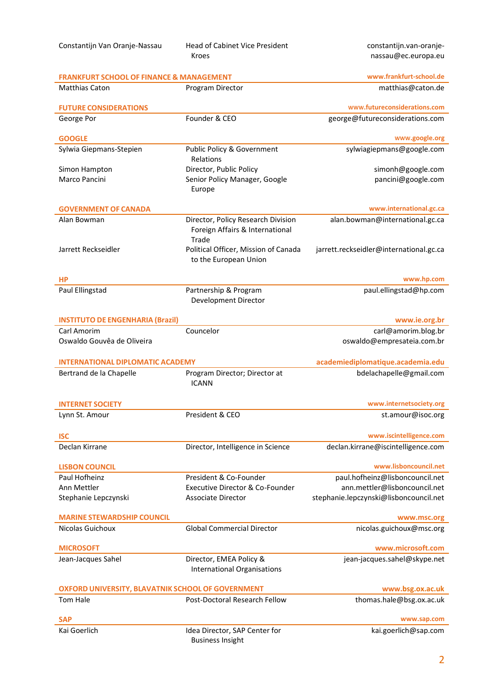Constantijn Van Oranje-Nassau Head of Cabinet Vice President Kroes

constantijn.van-oranjenassau@ec.europa.eu

| www.frankfurt-school.de<br><b>FRANKFURT SCHOOL OF FINANCE &amp; MANAGEMENT</b> |                                               |                                              |  |  |  |
|--------------------------------------------------------------------------------|-----------------------------------------------|----------------------------------------------|--|--|--|
| <b>Matthias Caton</b>                                                          | Program Director                              | matthias@caton.de                            |  |  |  |
| <b>FUTURE CONSIDERATIONS</b>                                                   |                                               | www.futureconsiderations.com                 |  |  |  |
| George Por                                                                     | Founder & CEO                                 | george@futureconsiderations.com              |  |  |  |
| <b>GOOGLE</b>                                                                  |                                               | www.google.org                               |  |  |  |
| Sylwia Giepmans-Stepien                                                        | Public Policy & Government                    | sylwiagiepmans@google.com                    |  |  |  |
|                                                                                | Relations                                     |                                              |  |  |  |
| Simon Hampton                                                                  | Director, Public Policy                       | simonh@google.com                            |  |  |  |
| Marco Pancini                                                                  | Senior Policy Manager, Google                 | pancini@google.com                           |  |  |  |
|                                                                                | Europe                                        |                                              |  |  |  |
| <b>GOVERNMENT OF CANADA</b>                                                    |                                               | www.international.gc.ca                      |  |  |  |
| Alan Bowman                                                                    | Director, Policy Research Division            | alan.bowman@international.gc.ca              |  |  |  |
|                                                                                | Foreign Affairs & International<br>Trade      |                                              |  |  |  |
| Jarrett Reckseidler                                                            | Political Officer, Mission of Canada          | jarrett.reckseidler@international.gc.ca      |  |  |  |
|                                                                                | to the European Union                         |                                              |  |  |  |
| <b>HP</b>                                                                      |                                               | www.hp.com                                   |  |  |  |
| Paul Ellingstad                                                                | Partnership & Program                         | paul.ellingstad@hp.com                       |  |  |  |
|                                                                                | Development Director                          |                                              |  |  |  |
| <b>INSTITUTO DE ENGENHARIA (Brazil)</b>                                        |                                               | www.ie.org.br                                |  |  |  |
| Carl Amorim                                                                    | Councelor                                     | carl@amorim.blog.br                          |  |  |  |
| Oswaldo Gouvêa de Oliveira                                                     |                                               | oswaldo@empresateia.com.br                   |  |  |  |
|                                                                                |                                               |                                              |  |  |  |
|                                                                                |                                               |                                              |  |  |  |
| <b>INTERNATIONAL DIPLOMATIC ACADEMY</b>                                        |                                               | academiediplomatique.academia.edu            |  |  |  |
| Bertrand de la Chapelle                                                        | Program Director; Director at<br><b>ICANN</b> | bdelachapelle@gmail.com                      |  |  |  |
|                                                                                |                                               |                                              |  |  |  |
| <b>INTERNET SOCIETY</b>                                                        |                                               | www.internetsociety.org                      |  |  |  |
| Lynn St. Amour                                                                 | President & CEO                               | st.amour@isoc.org                            |  |  |  |
| <b>ISC</b>                                                                     |                                               | www.iscintelligence.com                      |  |  |  |
| Declan Kirrane                                                                 | Director, Intelligence in Science             | declan.kirrane@iscintelligence.com           |  |  |  |
|                                                                                |                                               |                                              |  |  |  |
| <b>LISBON COUNCIL</b>                                                          |                                               | www.lisboncouncil.net                        |  |  |  |
| Paul Hofheinz                                                                  | President & Co-Founder                        | paul.hofheinz@lisboncouncil.net              |  |  |  |
| Ann Mettler                                                                    | Executive Director & Co-Founder               | ann.mettler@lisboncouncil.net                |  |  |  |
| Stephanie Lepczynski                                                           | <b>Associate Director</b>                     | stephanie.lepczynski@lisboncouncil.net       |  |  |  |
| <b>MARINE STEWARDSHIP COUNCIL</b>                                              |                                               | www.msc.org                                  |  |  |  |
| Nicolas Guichoux                                                               | <b>Global Commercial Director</b>             | nicolas.guichoux@msc.org                     |  |  |  |
| <b>MICROSOFT</b>                                                               |                                               | www.microsoft.com                            |  |  |  |
| Jean-Jacques Sahel                                                             | Director, EMEA Policy &                       | jean-jacques.sahel@skype.net                 |  |  |  |
|                                                                                | <b>International Organisations</b>            |                                              |  |  |  |
|                                                                                |                                               |                                              |  |  |  |
| OXFORD UNIVERSITY, BLAVATNIK SCHOOL OF GOVERNMENT<br><b>Tom Hale</b>           | Post-Doctoral Research Fellow                 | www.bsg.ox.ac.uk<br>thomas.hale@bsg.ox.ac.uk |  |  |  |
|                                                                                |                                               |                                              |  |  |  |
| <b>SAP</b><br>Kai Goerlich                                                     | Idea Director, SAP Center for                 | www.sap.com<br>kai.goerlich@sap.com          |  |  |  |

Business Insight

| ٠<br>۰, |  |  |
|---------|--|--|
|         |  |  |
|         |  |  |
|         |  |  |
|         |  |  |